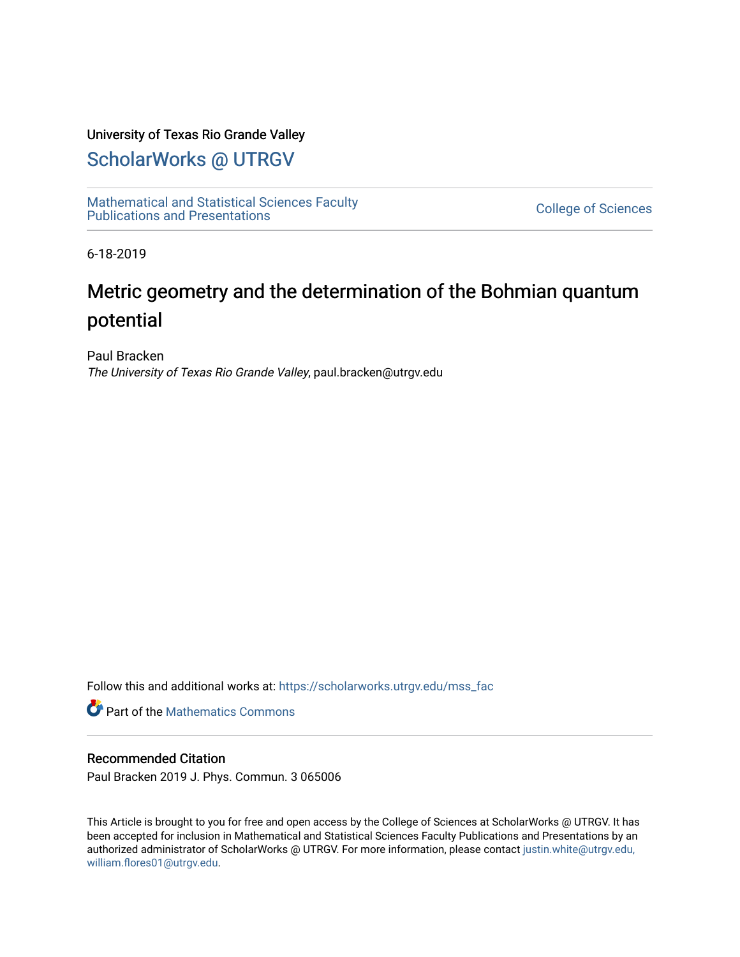## University of Texas Rio Grande Valley

## [ScholarWorks @ UTRGV](https://scholarworks.utrgv.edu/)

[Mathematical and Statistical Sciences Faculty](https://scholarworks.utrgv.edu/mss_fac)  mathematical and Statistical Sciences Faculty<br>Publications and Presentations

6-18-2019

# Metric geometry and the determination of the Bohmian quantum potential

Paul Bracken The University of Texas Rio Grande Valley, paul.bracken@utrgv.edu

Follow this and additional works at: [https://scholarworks.utrgv.edu/mss\\_fac](https://scholarworks.utrgv.edu/mss_fac?utm_source=scholarworks.utrgv.edu%2Fmss_fac%2F210&utm_medium=PDF&utm_campaign=PDFCoverPages) 

**Part of the [Mathematics Commons](http://network.bepress.com/hgg/discipline/174?utm_source=scholarworks.utrgv.edu%2Fmss_fac%2F210&utm_medium=PDF&utm_campaign=PDFCoverPages)** 

### Recommended Citation

Paul Bracken 2019 J. Phys. Commun. 3 065006

This Article is brought to you for free and open access by the College of Sciences at ScholarWorks @ UTRGV. It has been accepted for inclusion in Mathematical and Statistical Sciences Faculty Publications and Presentations by an authorized administrator of ScholarWorks @ UTRGV. For more information, please contact [justin.white@utrgv.edu,](mailto:justin.white@utrgv.edu,%20william.flores01@utrgv.edu)  [william.flores01@utrgv.edu](mailto:justin.white@utrgv.edu,%20william.flores01@utrgv.edu).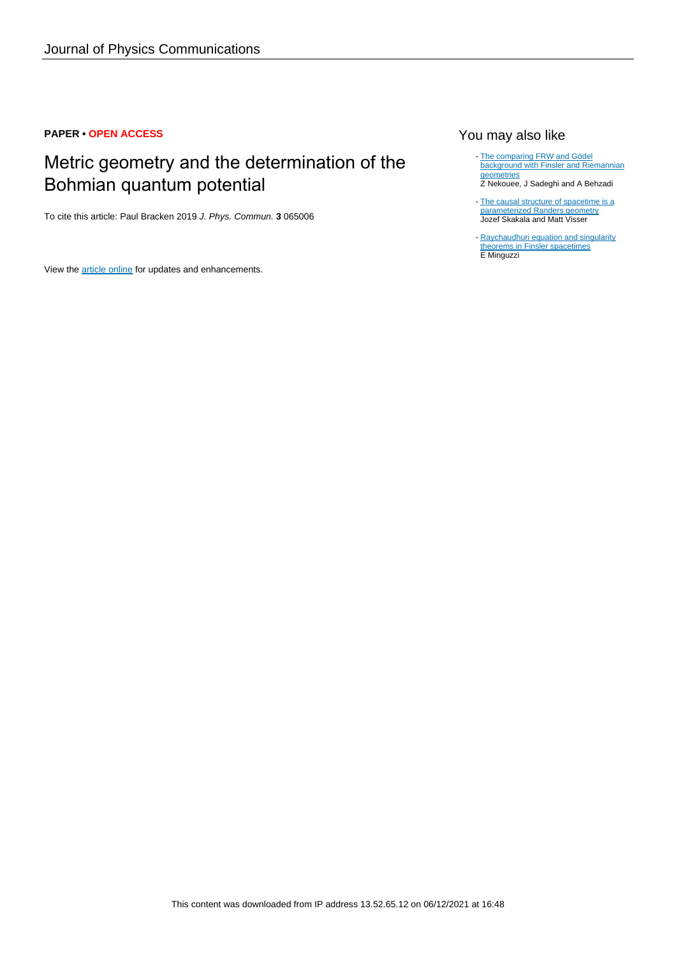## **PAPER • OPEN ACCESS**

# Metric geometry and the determination of the Bohmian quantum potential

To cite this article: Paul Bracken 2019 J. Phys. Commun. **3** 065006

View the [article online](https://doi.org/10.1088/2399-6528/ab2820) for updates and enhancements.

## You may also like

[The comparing FRW and Gödel](/article/10.1088/1742-6596/1194/1/012080) [background with Finsler and Riemannian](/article/10.1088/1742-6596/1194/1/012080) **[geometries](/article/10.1088/1742-6596/1194/1/012080)** -

Z Nekouee, J Sadeghi and A Behzadi

[The causal structure of spacetime is a](/article/10.1088/0264-9381/28/6/065007) [parameterized Randers geometry](/article/10.1088/0264-9381/28/6/065007) Jozef Skakala and Matt Visser -

[Raychaudhuri equation and singularity](/article/10.1088/0264-9381/32/18/185008) [theorems in Finsler spacetimes](/article/10.1088/0264-9381/32/18/185008) E Minguzzi -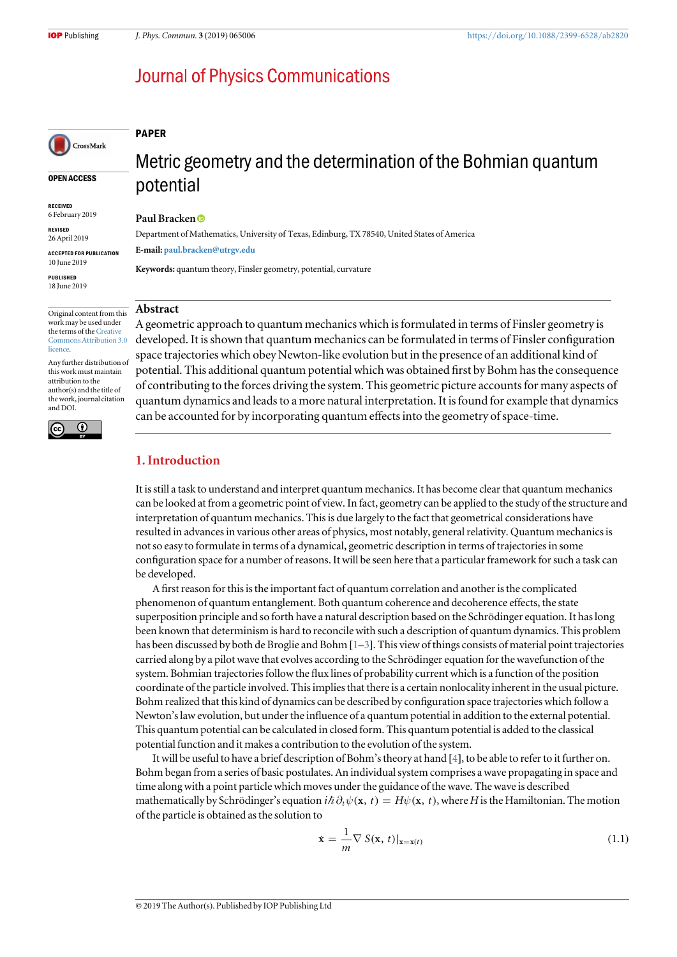## <span id="page-2-0"></span>**Journal of Physics Communications**

### PAPER

## OPEN ACCESS

CrossMark

RECEIVED 6 February 2019

REVISED 26 April 2019

ACCEPTED FOR PUBLICATION 10 June 2019

PUBLISHED 18 June 2019

Original content from this work may be used under the terms of the [Creative](http://creativecommons.org/licenses/by/3.0) [Commons Attribution 3.0](http://creativecommons.org/licenses/by/3.0) **licence** 

Any further distribution of this work must maintain attribution to the author(s) and the title of the work, journal citation and DOI.



# Metric geometry and the determination of the Bohmian quantum potential

#### Paul Bracken<sup>®</sup>

Department of Mathematics, University of Texas, Edinburg, TX 78540, United States of America E-mail: [paul.bracken@utrgv.edu](mailto:paul.bracken@utrgv.edu)

Keywords: quantum theory, Finsler geometry, potential, curvature

#### Abstract

A geometric approach to quantum mechanics which is formulated in terms of Finsler geometry is developed. It is shown that quantum mechanics can be formulated in terms of Finsler configuration space trajectories which obey Newton-like evolution but in the presence of an additional kind of potential. This additional quantum potential which was obtained first by Bohm has the consequence of contributing to the forces driving the system. This geometric picture accounts for many aspects of quantum dynamics and leads to a more natural interpretation. It is found for example that dynamics can be accounted for by incorporating quantum effects into the geometry of space-time.

## 1. Introduction

It is still a task to understand and interpret quantum mechanics. It has become clear that quantum mechanics can be looked at from a geometric point of view. In fact, geometry can be applied to the study of the structure and interpretation of quantum mechanics. This is due largely to the fact that geometrical considerations have resulted in advances in various other areas of physics, most notably, general relativity. Quantum mechanics is not so easy to formulate in terms of a dynamical, geometric description in terms of trajectories in some configuration space for a number of reasons. It will be seen here that a particular framework for such a task can be developed.

A first reason for this is the important fact of quantum correlation and another is the complicated phenomenon of quantum entanglement. Both quantum coherence and decoherence effects, the state superposition principle and so forth have a natural description based on the Schrödinger equation. It has long been known that determinism is hard to reconcile with such a description of quantum dynamics. This problem has been discussed by both de Broglie and Bohm [[1](#page-10-0)-[3](#page-10-0)]. This view of things consists of material point trajectories carried along by a pilot wave that evolves according to the Schrödinger equation for the wavefunction of the system. Bohmian trajectories follow the flux lines of probability current which is a function of the position coordinate of the particle involved. This implies that there is a certain nonlocality inherent in the usual picture. Bohm realized that this kind of dynamics can be described by configuration space trajectories which follow a Newton's law evolution, but under the influence of a quantum potential in addition to the external potential. This quantum potential can be calculated in closed form. This quantum potential is added to the classical potential function and it makes a contribution to the evolution of the system.

It will be useful to have a brief description of Bohm's theory at hand [[4](#page-10-0)], to be able to refer to it further on. Bohm began from a series of basic postulates. An individual system comprises a wave propagating in space and time along with a point particle which moves under the guidance of the wave. The wave is described mathematically by Schrödinger's equation  $i\hbar \partial_t \psi(x, t) = H\psi(x, t)$ , where *H* is the Hamiltonian. The motion of the particle is obtained as the solution to

$$
\dot{\mathbf{x}} = \frac{1}{m} \nabla S(\mathbf{x}, t)|_{\mathbf{x} = \mathbf{x}(t)}
$$
(1.1)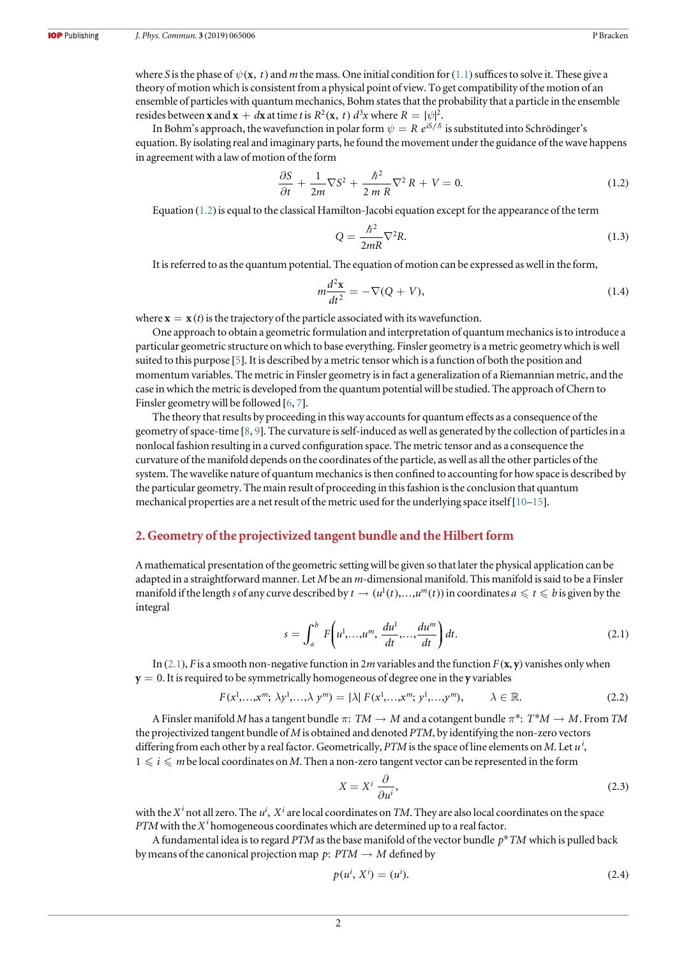<span id="page-3-0"></span>where S is the phase of  $\psi(x, t)$  and m the mass. One initial condition for ([1.1](#page-2-0)) suffices to solve it. These give a theory of motion which is consistent from a physical point of view. To get compatibility of the motion of an ensemble of particles with quantum mechanics, Bohm states that the probability that a particle in the ensemble resides between **x** and **x** +  $d\textbf{x}$  at time *t* is  $R^2(\textbf{x}, t) d^3x$  where  $R = |\psi|^2$ .

In Bohm's approach, the wavefunction in polar form  $\psi = R e^{iS/\hbar}$  is substituted into Schrödinger's equation. By isolating real and imaginary parts, he found the movement under the guidance of the wave happens in agreement with a law of motion of the form

$$
\frac{\partial S}{\partial t} + \frac{1}{2m} \nabla S^2 + \frac{\hbar^2}{2m R} \nabla^2 R + V = 0.
$$
 (1.2)

Equation  $(1.2)$  is equal to the classical Hamilton-Jacobi equation except for the appearance of the term

$$
Q = \frac{\hbar^2}{2mR} \nabla^2 R. \tag{1.3}
$$

It is referred to as the quantum potential. The equation of motion can be expressed as well in the form,

$$
m\frac{d^2\mathbf{x}}{dt^2} = -\nabla(Q+V),\tag{1.4}
$$

where  $\mathbf{x} = \mathbf{x}(t)$  is the trajectory of the particle associated with its wavefunction.

One approach to obtain a geometric formulation and interpretation of quantum mechanics is to introduce a particular geometric structure on which to base everything. Finsler geometry is a metric geometry which is well suited to this purpose [[5](#page-10-0)]. It is described by a metric tensor which is a function of both the position and momentum variables. The metric in Finsler geometry is in fact a generalization of a Riemannian metric, and the case in which the metric is developed from the quantum potential will be studied. The approach of Chern to Finsler geometry will be followed [[6,](#page-10-0) [7](#page-10-0)].

The theory that results by proceeding in this way accounts for quantum effects as a consequence of the geometry of space-time [[8,](#page-10-0) [9](#page-10-0)]. The curvature is self-induced as well as generated by the collection of particles in a nonlocal fashion resulting in a curved configuration space. The metric tensor and as a consequence the curvature of the manifold depends on the coordinates of the particle, as well as all the other particles of the system. The wavelike nature of quantum mechanics is then confined to accounting for how space is described by the particular geometry. The main result of proceeding in this fashion is the conclusion that quantum mechanical properties are a net result of the metric used for the underlying space itself[[10](#page-10-0)–[15](#page-10-0)].

#### 2. Geometry of the projectivized tangent bundle and the Hilbert form

A mathematical presentation of the geometric setting will be given so that later the physical application can be adapted in a straightforward manner. Let M be an m-dimensional manifold. This manifold is said to be a Finsler manifold if the length s of any curve described by  $t \to (u^1(t),...,u^m(t))$  in coordinates  $a \leq t \leq b$  is given by the integral

$$
s = \int_{a}^{b} F\left(u^{1}, \ldots, u^{m}, \frac{du^{1}}{dt}, \ldots, \frac{du^{m}}{dt}\right) dt.
$$
 (2.1)

In (2.1), F is a smooth non-negative function in 2m variables and the function  $F(\mathbf{x}, \mathbf{y})$  vanishes only when  $y = 0$ . It is required to be symmetrically homogeneous of degree one in the y variables

$$
F(x^1, \ldots, x^m; \lambda y^1, \ldots, \lambda y^m) = |\lambda| F(x^1, \ldots, x^m; y^1, \ldots, y^m), \qquad \lambda \in \mathbb{R}.
$$
 (2.2)

A Finsler manifold M has a tangent bundle  $\pi$ :  $TM \to M$  and a cotangent bundle  $\pi^*$ :  $T^*M \to M$ . From TM the projectivized tangent bundle of  $M$  is obtained and denoted  $PTM$ , by identifying the non-zero vectors differing from each other by a real factor. Geometrically, PTM is the space of line elements on M. Let  $u^i$ ,  $1 \leq i \leq m$  be local coordinates on M. Then a non-zero tangent vector can be represented in the form

$$
X = X^i \frac{\partial}{\partial u^i},\tag{2.3}
$$

with the  $X^i$  not all zero. The  $u^i$ ,  $X^i$  are local coordinates on *TM*. They are also local coordinates on the space PTM with the  $X^i$  homogeneous coordinates which are determined up to a real factor.

A fundamental idea is to regard PTM as the base manifold of the vector bundle  $p^*TM$  which is pulled back by means of the canonical projection map  $p: PTM \rightarrow M$  defined by

$$
p(u^i, X^i) = (u^i). \tag{2.4}
$$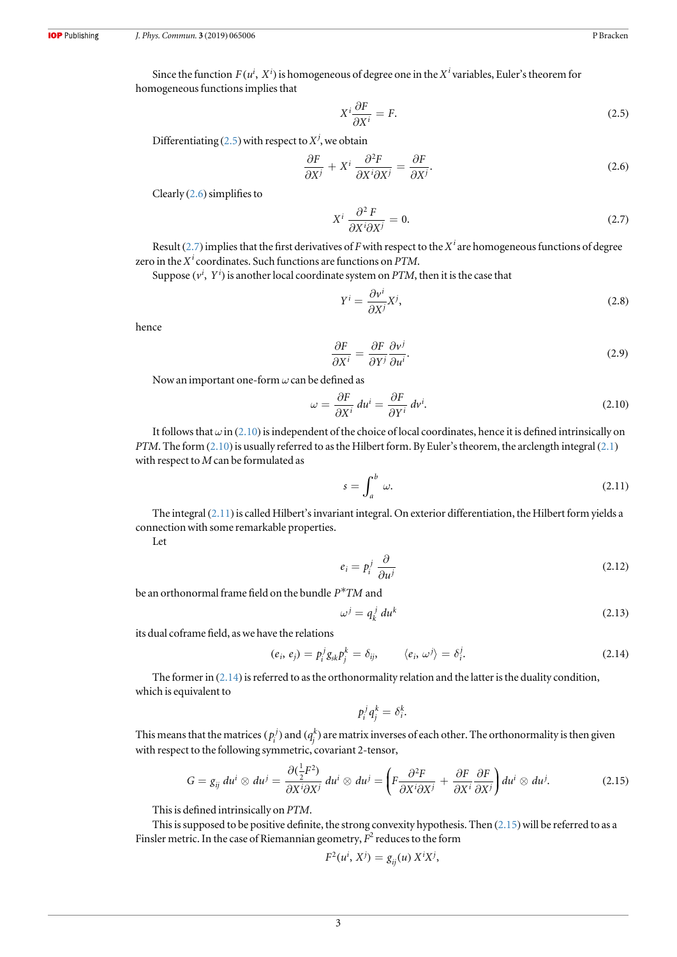<span id="page-4-0"></span>Since the function  $F(u^i, X^i)$  is homogeneous of degree one in the  $X^i$  variables, Euler's theorem for homogeneous functions implies that

$$
X^i \frac{\partial F}{\partial X^i} = F.
$$
\n(2.5)

Differentiating (2.5) with respect to  $X^j$ , we obtain

$$
\frac{\partial F}{\partial X^j} + X^i \frac{\partial^2 F}{\partial X^i \partial X^j} = \frac{\partial F}{\partial X^j}.
$$
\n(2.6)

Clearly  $(2.6)$  simplifies to

$$
X^i \frac{\partial^2 F}{\partial X^i \partial X^j} = 0.
$$
 (2.7)

Result (2.7) implies that the first derivatives of F with respect to the  $X^i$  are homogeneous functions of degree zero in the  $X^i$  coordinates. Such functions are functions on PTM.

Suppose  $(v^i, Y^i)$  is another local coordinate system on *PTM*, then it is the case that

$$
Y^i = \frac{\partial v^i}{\partial X^j} X^j,\tag{2.8}
$$

hence

$$
\frac{\partial F}{\partial X^i} = \frac{\partial F}{\partial Y^j} \frac{\partial v^j}{\partial u^i}.
$$
\n(2.9)

Now an important one-form  $\omega$  can be defined as

$$
\omega = \frac{\partial F}{\partial X^i} du^i = \frac{\partial F}{\partial Y^i} dv^i.
$$
\n(2.10)

It follows that  $\omega$  in (2.10) is independent of the choice of local coordinates, hence it is defined intrinsically on PTM. The form ([2.1](#page-3-0)0) is usually referred to as the Hilbert form. By Euler's theorem, the arclength integral (2.1) with respect to M can be formulated as

$$
s = \int_{a}^{b} \omega. \tag{2.11}
$$

The integral (2.11) is called Hilbert's invariant integral. On exterior differentiation, the Hilbert form yields a connection with some remarkable properties.

Let

$$
e_i = p_i^j \frac{\partial}{\partial u^j} \tag{2.12}
$$

be an orthonormal frame field on the bundle *P*\**TM* and

$$
\omega^j = q_k^j \, du^k \tag{2.13}
$$

its dual coframe field, as we have the relations

$$
(e_i, e_j) = p_i^j g_{sk} p_j^k = \delta_{ij}, \qquad \langle e_i, \omega^j \rangle = \delta_i^j. \tag{2.14}
$$

The former in (2.14) is referred to as the orthonormality relation and the latter is the duality condition, which is equivalent to

$$
p_i^j q_j^k = \delta_i^k.
$$

This means that the matrices  $(p_i^j)$  and  $(q_j^k)$  are matrix inverses of each other. The orthonormality is then given with respect to the following symmetric, covariant 2-tensor,

$$
G = g_{ij} du^{i} \otimes du^{j} = \frac{\partial(\frac{1}{2}F^{2})}{\partial X^{i}\partial X^{j}} du^{i} \otimes du^{j} = \left(F \frac{\partial^{2}F}{\partial X^{i}\partial X^{j}} + \frac{\partial F}{\partial X^{i}} \frac{\partial F}{\partial X^{j}}\right) du^{i} \otimes du^{j}.
$$
 (2.15)

This is defined intrinsically on PTM.

This is supposed to be positive definite, the strong convexity hypothesis. Then  $(2.15)$  will be referred to as a Finsler metric. In the case of Riemannian geometry,  $F^2$  reduces to the form

$$
F^2(u^i, X^j) = g_{ij}(u) X^i X^j,
$$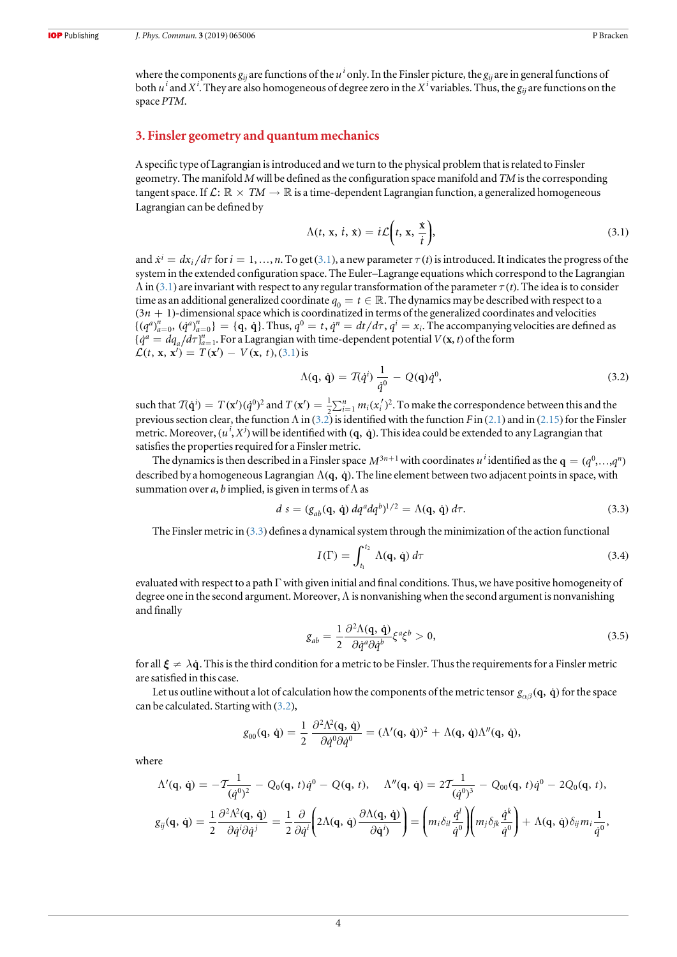<span id="page-5-0"></span>where the components  $g_{ij}$  are functions of the  $u^i$  only. In the Finsler picture, the  $g_{ij}$  are in general functions of both  $u^i$  and  $X^i$ . They are also homogeneous of degree zero in the  $X^i$  variables. Thus, the  $g_{ij}$  are functions on the space PTM.

#### 3. Finsler geometry and quantum mechanics

A specific type of Lagrangian is introduced and we turn to the physical problem that is related to Finsler geometry. The manifold  $M$  will be defined as the configuration space manifold and  $TM$  is the corresponding tangent space. If  $\mathcal{L}: \mathbb{R} \times TM \to \mathbb{R}$  is a time-dependent Lagrangian function, a generalized homogeneous Lagrangian can be defined by

$$
\Lambda(t, \mathbf{x}, \dot{t}, \dot{\mathbf{x}}) = i\mathcal{L}\left(t, \mathbf{x}, \frac{\dot{\mathbf{x}}}{\dot{t}}\right),\tag{3.1}
$$

and  $\dot{x}^i = dx_i/d\tau$  for  $i = 1,...,n$ . To get (3.1), a new parameter  $\tau(t)$  is introduced. It indicates the progress of the system in the extended configuration space. The Euler–Lagrange equations which correspond to the Lagrangian  $\Lambda$  in (3.1) are invariant with respect to any regular transformation of the parameter  $\tau(t)$ . The idea is to consider time as an additional generalized coordinate  $q_0 = t \in \mathbb{R}$ . The dynamics may be described with respect to a  $(3n + 1)$ -dimensional space which is coordinatized in terms of the generalized coordinates and velocities  $\{(q^a)_{a=0}^n, (q^a)_{a=0}^n\} = \{\mathbf{q}, \mathbf{\dot{q}}\}.$  Thus,  $q^0 = t, \dot{q}^n = dt/d\tau, q^i = x_i.$  The accompanying velocities are defined as  ${q^a = dq_a/d\tau}$ <sup>n</sup><sub>a=1</sub>. For a Lagrangian with time-dependent potential  $V(\mathbf{x}, t)$  of the form  $\mathcal{L}(t, x, x') = T(x') - V(x, t), (3.1)$  is

$$
\Lambda(\mathbf{q},\,\dot{\mathbf{q}}) = \mathcal{T}(\dot{q}^i)\,\frac{1}{\dot{q}^0} - Q(\mathbf{q})\dot{q}^0,\tag{3.2}
$$

such that  $\mathcal{T}(\mathbf{q}^i) = T(\mathbf{x}^i)(\dot{q}^0)^2$  and  $T(\mathbf{x}^i) = \frac{1}{2} \sum_{i=1}^n m_i (x_i^i)^2$ . To make the correspondence between this and the previous section clear, the function  $\Lambda$  in (3.2) is identified with the function F in ([2.1](#page-3-0)) and in ([2.15](#page-4-0)) for the Finsler metric. Moreover,  $(u^i, X^j)$  will be identified with  $(q, \dot q)$ . This idea could be extended to any Lagrangian that satisfies the properties required for a Finsler metric.

The dynamics is then described in a Finsler space  $M^{3n+1}$  with coordinates  $u^i$  identified as the  $\mathbf{q}=(q^0,...,q^n)$ described by a homogeneous Lagrangian  $\Lambda(q, \dot{q})$ . The line element between two adjacent points in space, with summation over a, b implied, is given in terms of  $\Lambda$  as

$$
d s = (g_{ab}(\mathbf{q}, \dot{\mathbf{q}}) dq^a dq^b)^{1/2} = \Lambda(\mathbf{q}, \dot{\mathbf{q}}) d\tau.
$$
 (3.3)

The Finsler metric in (3.3) defines a dynamical system through the minimization of the action functional

$$
I(\Gamma) = \int_{t_1}^{t_2} \Lambda(\mathbf{q}, \dot{\mathbf{q}}) d\tau
$$
 (3.4)

evaluated with respect to a path  $\Gamma$  with given initial and final conditions. Thus, we have positive homogeneity of degree one in the second argument. Moreover,  $\Lambda$  is nonvanishing when the second argument is nonvanishing and finally

$$
g_{ab} = \frac{1}{2} \frac{\partial^2 \Lambda(\mathbf{q}, \dot{\mathbf{q}})}{\partial \dot{q}^a \partial \dot{q}^b} \xi^a \xi^b > 0, \tag{3.5}
$$

for all  $\xi \neq \lambda \dot{q}$ . This is the third condition for a metric to be Finsler. Thus the requirements for a Finsler metric are satisfied in this case.

Let us outline without a lot of calculation how the components of the metric tensor  $g_{\alpha\beta}(\mathbf{q},\dot{\mathbf{q}})$  for the space can be calculated. Starting with (3.2),

$$
g_{00}(\mathbf{q},\,\dot{\mathbf{q}}) = \frac{1}{2} \, \frac{\partial^2 \Lambda^2(\mathbf{q},\,\dot{\mathbf{q}})}{\partial \dot{q}^0 \partial \dot{q}^0} = (\Lambda'(\mathbf{q},\,\dot{\mathbf{q}}))^2 + \Lambda(\mathbf{q},\,\dot{\mathbf{q}})\Lambda''(\mathbf{q},\,\dot{\mathbf{q}}),
$$

where

$$
\Lambda'(\mathbf{q},\,\dot{\mathbf{q}}) = -\mathcal{T}\frac{1}{(\dot{q}^0)^2} - Q_0(\mathbf{q},\,t)\dot{q}^0 - Q(\mathbf{q},\,t), \quad \Lambda''(\mathbf{q},\,\dot{\mathbf{q}}) = 2\mathcal{T}\frac{1}{(\dot{q}^0)^3} - Q_{00}(\mathbf{q},\,t)\dot{q}^0 - 2Q_0(\mathbf{q},\,t),
$$

$$
g_{ij}(\mathbf{q},\,\dot{\mathbf{q}}) = \frac{1}{2}\frac{\partial^2\Lambda^2(\mathbf{q},\,\dot{\mathbf{q}})}{\partial\dot{q}^i\partial\dot{q}^j} = \frac{1}{2}\frac{\partial}{\partial\dot{q}^i}\left(2\Lambda(\mathbf{q},\,\dot{\mathbf{q}})\frac{\partial\Lambda(\mathbf{q},\,\dot{\mathbf{q}})}{\partial\dot{\mathbf{q}}^i}\right) = \left(m_i\delta_{il}\frac{\dot{q}^l}{\dot{q}^0}\right)\left(m_j\delta_{jk}\frac{\dot{q}^k}{\dot{q}^0}\right) + \Lambda(\mathbf{q},\,\dot{\mathbf{q}})\delta_{ij}m_i\frac{1}{\dot{q}^0},
$$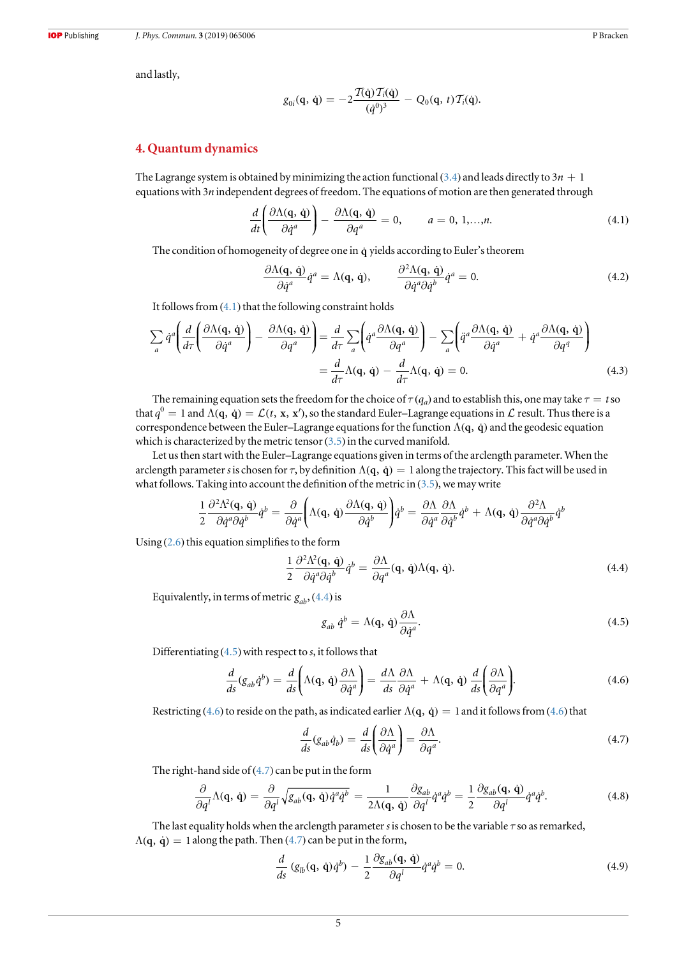<span id="page-6-0"></span>and lastly,

$$
g_{0i}(\mathbf{q},\,\dot{\mathbf{q}})=-2\frac{\mathcal{T}(\dot{\mathbf{q}})\,\mathcal{T}_i(\dot{\mathbf{q}})}{(q^0)^3}-Q_0(\mathbf{q},\,t)\,\mathcal{T}_i(\dot{\mathbf{q}}).
$$

#### 4. Quantum dynamics

The Lagrange system is obtained by minimizing the action functional ([3.4](#page-5-0)) and leads directly to  $3n + 1$ equations with 3n independent degrees of freedom. The equations of motion are then generated through

$$
\frac{d}{dt} \left( \frac{\partial \Lambda(\mathbf{q}, \dot{\mathbf{q}})}{\partial \dot{q}^a} \right) - \frac{\partial \Lambda(\mathbf{q}, \dot{\mathbf{q}})}{\partial q^a} = 0, \qquad a = 0, 1, ..., n.
$$
\n(4.1)

The condition of homogeneity of degree one in  $\dot{q}$  yields according to Euler's theorem

$$
\frac{\partial \Lambda(\mathbf{q}, \dot{\mathbf{q}})}{\partial \dot{q}^a} \dot{q}^a = \Lambda(\mathbf{q}, \dot{\mathbf{q}}), \qquad \frac{\partial^2 \Lambda(\mathbf{q}, \dot{\mathbf{q}})}{\partial \dot{q}^a \partial \dot{q}^b} \dot{q}^a = 0.
$$
\n(4.2)

It follows from (4.1) that the following constraint holds

$$
\sum_{a} \dot{q}^{a} \left( \frac{d}{d\tau} \left( \frac{\partial \Lambda(\mathbf{q}, \dot{\mathbf{q}})}{\partial \dot{q}^{a}} \right) - \frac{\partial \Lambda(\mathbf{q}, \dot{\mathbf{q}})}{\partial q^{a}} \right) = \frac{d}{d\tau} \sum_{a} \left( \dot{q}^{a} \frac{\partial \Lambda(\mathbf{q}, \dot{\mathbf{q}})}{\partial q^{a}} \right) - \sum_{a} \left( \ddot{q}^{a} \frac{\partial \Lambda(\mathbf{q}, \dot{\mathbf{q}})}{\partial \dot{q}^{a}} + \dot{q}^{a} \frac{\partial \Lambda(\mathbf{q}, \dot{\mathbf{q}})}{\partial q^{q}} \right)
$$

$$
= \frac{d}{d\tau} \Lambda(\mathbf{q}, \dot{\mathbf{q}}) - \frac{d}{d\tau} \Lambda(\mathbf{q}, \dot{\mathbf{q}}) = 0. \tag{4.3}
$$

The remaining equation sets the freedom for the choice of  $\tau(q_a)$  and to establish this, one may take  $\tau = t$  so that  $q^0 = 1$  and  $\Lambda(q, \dot{q}) = \mathcal{L}(t, x, x')$ , so the standard Euler–Lagrange equations in  $\mathcal L$  result. Thus there is a correspondence between the Euler–Lagrange equations for the function  $\Lambda(q, \dot{q})$  and the geodesic equation which is characterized by the metric tensor  $(3.5)$  $(3.5)$  $(3.5)$  in the curved manifold.

Let us then start with the Euler–Lagrange equations given in terms of the arclength parameter. When the arclength parameter s is chosen for  $\tau$ , by definition  $\Lambda(\mathbf{q}, \dot{\mathbf{q}}) = 1$  along the trajectory. This fact will be used in what follows. Taking into account the definition of the metric in  $(3.5)$  $(3.5)$  $(3.5)$ , we may write

$$
\frac{1}{2} \frac{\partial^2 \Lambda^2(\mathbf{q}, \dot{\mathbf{q}})}{\partial \dot{q}^a \partial \dot{q}^b} \dot{q}^b = \frac{\partial}{\partial \dot{q}^a} \left( \Lambda(\mathbf{q}, \dot{\mathbf{q}}) \frac{\partial \Lambda(\mathbf{q}, \dot{\mathbf{q}})}{\partial \dot{q}^b} \right) \dot{q}^b = \frac{\partial \Lambda}{\partial \dot{q}^a} \frac{\partial \Lambda}{\partial \dot{q}^b} \dot{q}^b + \Lambda(\mathbf{q}, \dot{\mathbf{q}}) \frac{\partial^2 \Lambda}{\partial \dot{q}^a \partial \dot{q}^b} \dot{q}^b
$$

Using  $(2.6)$  $(2.6)$  $(2.6)$  this equation simplifies to the form

$$
\frac{1}{2} \frac{\partial^2 \Lambda^2(\mathbf{q}, \dot{\mathbf{q}})}{\partial \dot{q}^a \partial \dot{q}^b} \dot{q}^b = \frac{\partial \Lambda}{\partial q^a}(\mathbf{q}, \dot{\mathbf{q}}) \Lambda(\mathbf{q}, \dot{\mathbf{q}}).
$$
(4.4)

Equivalently, in terms of metric  $g_{ab}$ , (4.4) is

$$
g_{ab} \dot{q}^b = \Lambda(\mathbf{q}, \dot{\mathbf{q}}) \frac{\partial \Lambda}{\partial \dot{q}^a}.
$$
\n(4.5)

Differentiating  $(4.5)$  with respect to s, it follows that

$$
\frac{d}{ds}(g_{ab}\dot{q}^b) = \frac{d}{ds}\left(\Lambda(\mathbf{q},\dot{\mathbf{q}})\frac{\partial\Lambda}{\partial\dot{q}^a}\right) = \frac{d\Lambda}{ds}\frac{\partial\Lambda}{\partial\dot{q}^a} + \Lambda(\mathbf{q},\dot{\mathbf{q}})\frac{d}{ds}\left(\frac{\partial\Lambda}{\partial q^a}\right).
$$
(4.6)

Restricting (4.6) to reside on the path, as indicated earlier  $\Lambda(q, \dot{q}) = 1$  and it follows from (4.6) that

$$
\frac{d}{ds}(g_{ab}\dot{q}_b) = \frac{d}{ds}\left(\frac{\partial \Lambda}{\partial \dot{q}^a}\right) = \frac{\partial \Lambda}{\partial q^a}.
$$
\n(4.7)

The right-hand side of  $(4.7)$  can be put in the form

$$
\frac{\partial}{\partial q^l} \Lambda(\mathbf{q}, \dot{\mathbf{q}}) = \frac{\partial}{\partial q^l} \sqrt{g_{ab}(\mathbf{q}, \dot{\mathbf{q}}) \dot{q}^a \dot{q}^b} = \frac{1}{2\Lambda(\mathbf{q}, \dot{\mathbf{q}})} \frac{\partial g_{ab}}{\partial q^l} \dot{q}^a \dot{q}^b = \frac{1}{2} \frac{\partial g_{ab}(\mathbf{q}, \dot{\mathbf{q}})}{\partial q^l} \dot{q}^a \dot{q}^b.
$$
(4.8)

The last equality holds when the arclength parameter s is chosen to be the variable  $\tau$  so as remarked,  $\Lambda$ (q,  $\dot{q}$ ) = 1 along the path. Then (4.7) can be put in the form,

$$
\frac{d}{ds}\left(g_{lb}(\mathbf{q},\,\dot{\mathbf{q}})\dot{q}^b\right) - \frac{1}{2}\frac{\partial g_{ab}(\mathbf{q},\,\dot{\mathbf{q}})}{\partial q^l}\dot{q}^a\dot{q}^b = 0. \tag{4.9}
$$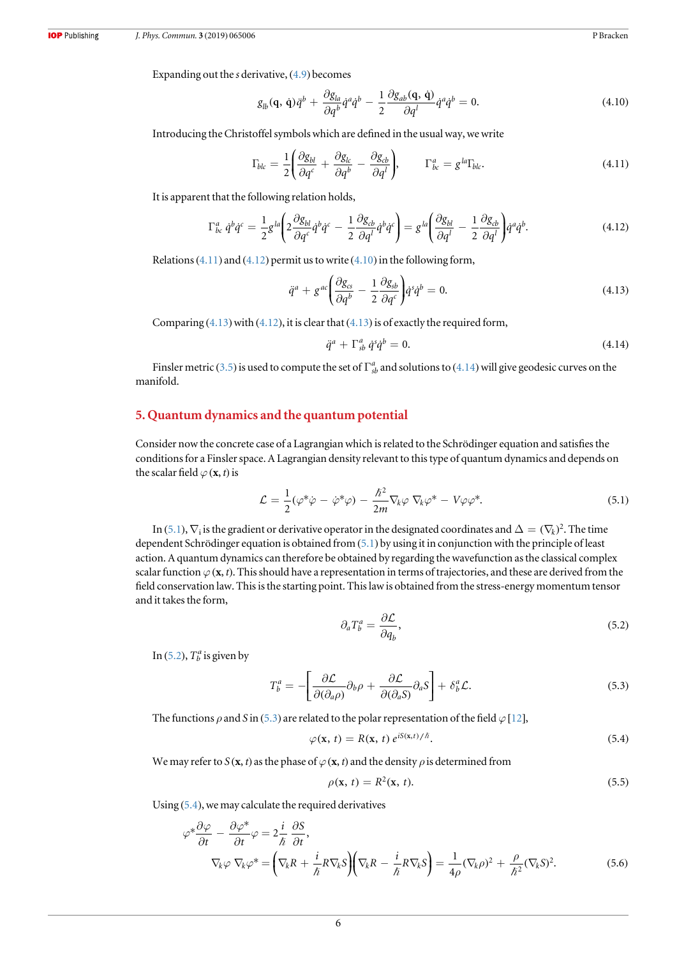<span id="page-7-0"></span>Expanding out the s derivative, ([4.9](#page-6-0)) becomes

$$
g_{lb}(\mathbf{q}, \dot{\mathbf{q}})\ddot{q}^b + \frac{\partial g_{la}}{\partial q^b}\dot{q}^a\dot{q}^b - \frac{1}{2}\frac{\partial g_{ab}(\mathbf{q}, \dot{\mathbf{q}})}{\partial q^l}\dot{q}^a\dot{q}^b = 0.
$$
 (4.10)

Introducing the Christoffel symbols which are defined in the usual way, we write

$$
\Gamma_{blc} = \frac{1}{2} \left( \frac{\partial g_{bl}}{\partial q^c} + \frac{\partial g_{lc}}{\partial q^b} - \frac{\partial g_{cb}}{\partial q^l} \right), \qquad \Gamma^a_{bc} = g^{la} \Gamma_{blc}.
$$
\n(4.11)

It is apparent that the following relation holds,

$$
\Gamma^{a}_{bc} \dot{q}^b \dot{q}^c = \frac{1}{2} g^{la} \left( 2 \frac{\partial g_{bl}}{\partial q^c} \dot{q}^b \dot{q}^c - \frac{1}{2} \frac{\partial g_{cb}}{\partial q^l} \dot{q}^b \dot{q}^c \right) = g^{la} \left( \frac{\partial g_{bl}}{\partial q^l} - \frac{1}{2} \frac{\partial g_{cb}}{\partial q^l} \right) \dot{q}^a \dot{q}^b. \tag{4.12}
$$

Relations  $(4.11)$  and  $(4.12)$  permit us to write  $(4.10)$  in the following form,

$$
\ddot{q}^a + g^{ac} \left( \frac{\partial g_{cs}}{\partial q^b} - \frac{1}{2} \frac{\partial g_{sb}}{\partial q^c} \right) \dot{q}^s \dot{q}^b = 0. \tag{4.13}
$$

Comparing  $(4.13)$  with  $(4.12)$ , it is clear that  $(4.13)$  is of exactly the required form,

$$
\ddot{q}^a + \Gamma^a_{sb} \dot{q}^s \dot{q}^b = 0. \tag{4.14}
$$

Finsler metric ([3.5](#page-5-0)) is used to compute the set of  $\Gamma^a_{sb}$  and solutions to (4.14) will give geodesic curves on the manifold.

#### 5. Quantum dynamics and the quantum potential

Consider now the concrete case of a Lagrangian which is related to the Schrödinger equation and satisfies the conditions for a Finsler space. A Lagrangian density relevant to this type of quantum dynamics and depends on the scalar field  $\varphi$  (**x**, *t*) is

$$
\mathcal{L} = \frac{1}{2}(\varphi^*\varphi - \dot{\varphi}^*\varphi) - \frac{\hbar^2}{2m}\nabla_k\varphi\nabla_k\varphi^* - V\varphi\varphi^*.
$$
\n(5.1)

In (5.1),  $\nabla_i$  is the gradient or derivative operator in the designated coordinates and  $\Delta = (\nabla_k)^2$ . The time dependent Schrödinger equation is obtained from (5.1) by using it in conjunction with the principle of least action. A quantum dynamics can therefore be obtained by regarding the wavefunction as the classical complex scalar function  $\varphi$  (x, t). This should have a representation in terms of trajectories, and these are derived from the field conservation law. This is the starting point. This law is obtained from the stress-energy momentum tensor and it takes the form,

$$
\partial_a T_b^a = \frac{\partial \mathcal{L}}{\partial q_b},\tag{5.2}
$$

In (5.2),  $T_b^a$  is given by

$$
T_b^a = -\left[\frac{\partial \mathcal{L}}{\partial(\partial_a \rho)} \partial_b \rho + \frac{\partial \mathcal{L}}{\partial(\partial_a S)} \partial_a S\right] + \delta_b^a \mathcal{L}.
$$
 (5.3)

The functions  $\rho$  and S in (5.3) are related to the polar representation of the field  $\varphi$  [[12](#page-10-0)],

$$
\varphi(\mathbf{x}, t) = R(\mathbf{x}, t) e^{iS(\mathbf{x}, t)/\hbar}.
$$
\n(5.4)

We may refer to  $S(\mathbf{x}, t)$  as the phase of  $\varphi(\mathbf{x}, t)$  and the density  $\rho$  is determined from

$$
\rho(\mathbf{x}, t) = R^2(\mathbf{x}, t). \tag{5.5}
$$

Using (5.4), we may calculate the required derivatives

$$
\varphi^* \frac{\partial \varphi}{\partial t} - \frac{\partial \varphi^*}{\partial t} \varphi = 2 \frac{i}{\hbar} \frac{\partial S}{\partial t},
$$
  

$$
\nabla_k \varphi \nabla_k \varphi^* = \left( \nabla_k R + \frac{i}{\hbar} R \nabla_k S \right) \left( \nabla_k R - \frac{i}{\hbar} R \nabla_k S \right) = \frac{1}{4\rho} (\nabla_k \rho)^2 + \frac{\rho}{\hbar^2} (\nabla_k S)^2.
$$
 (5.6)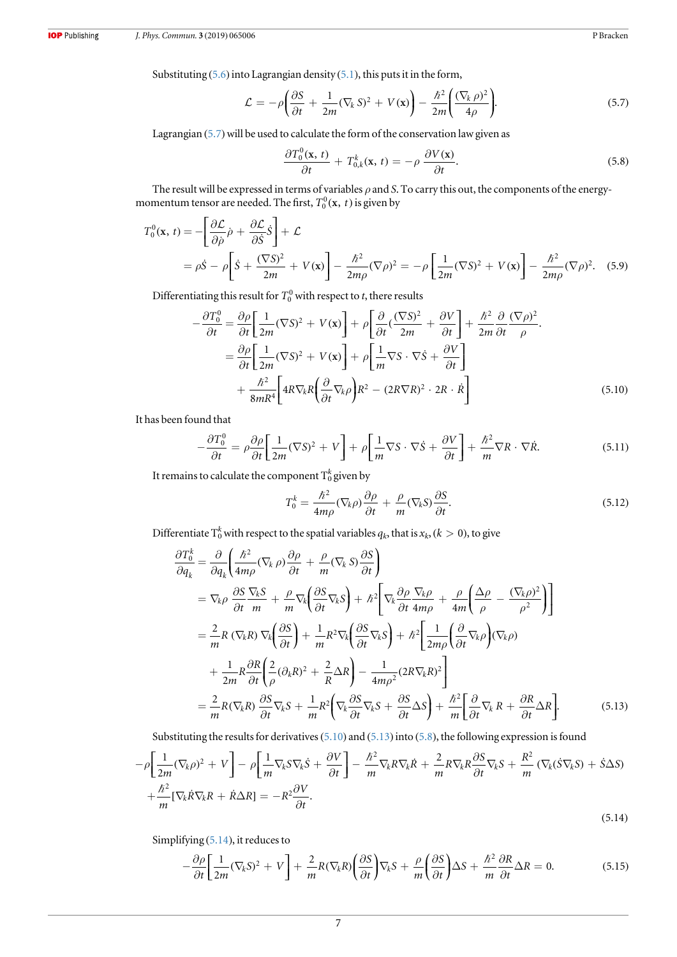<span id="page-8-0"></span>Substituting ([5.6](#page-7-0)) into Lagrangian density ([5.1](#page-7-0)), this puts it in the form,

$$
\mathcal{L} = -\rho \left( \frac{\partial S}{\partial t} + \frac{1}{2m} (\nabla_k S)^2 + V(\mathbf{x}) \right) - \frac{\hbar^2}{2m} \left( \frac{(\nabla_k \rho)^2}{4\rho} \right).
$$
 (5.7)

Lagrangian (5.7)will be used to calculate the form of the conservation law given as

$$
\frac{\partial T_0^0(\mathbf{x}, t)}{\partial t} + T_{0,k}^k(\mathbf{x}, t) = -\rho \frac{\partial V(\mathbf{x})}{\partial t}.
$$
\n(5.8)

The result will be expressed in terms of variables  $\rho$  and S. To carry this out, the components of the energymomentum tensor are needed. The first,  $T_0^0(\mathbf{x}, t)$  is given by

$$
T_0^0(\mathbf{x}, t) = -\left[\frac{\partial \mathcal{L}}{\partial \rho} \dot{\rho} + \frac{\partial \mathcal{L}}{\partial \dot{\mathcal{S}}} \dot{\mathcal{S}}\right] + \mathcal{L}
$$
  
=  $\rho \dot{\mathcal{S}} - \rho \left[\dot{\mathcal{S}} + \frac{(\nabla \mathcal{S})^2}{2m} + V(\mathbf{x})\right] - \frac{\hbar^2}{2m\rho} (\nabla \rho)^2 = -\rho \left[\frac{1}{2m} (\nabla \mathcal{S})^2 + V(\mathbf{x})\right] - \frac{\hbar^2}{2m\rho} (\nabla \rho)^2.$  (5.9)

Differentiating this result for  $T_0^0$  with respect to *t*, there results

$$
-\frac{\partial T_0^0}{\partial t} = \frac{\partial \rho}{\partial t} \left[ \frac{1}{2m} (\nabla S)^2 + V(\mathbf{x}) \right] + \rho \left[ \frac{\partial}{\partial t} (\frac{(\nabla S)^2}{2m} + \frac{\partial V}{\partial t} \right] + \frac{\hbar^2}{2m} \frac{\partial}{\partial t} (\nabla \rho)^2
$$

$$
= \frac{\partial \rho}{\partial t} \left[ \frac{1}{2m} (\nabla S)^2 + V(\mathbf{x}) \right] + \rho \left[ \frac{1}{m} \nabla S \cdot \nabla \dot{S} + \frac{\partial V}{\partial t} \right]
$$

$$
+ \frac{\hbar^2}{8mR^4} \left[ 4R \nabla_k R \left( \frac{\partial}{\partial t} \nabla_k \rho \right) R^2 - (2R \nabla R)^2 \cdot 2R \cdot \dot{R} \right]
$$
(5.10)

It has been found that

$$
-\frac{\partial T_0^0}{\partial t} = \rho \frac{\partial \rho}{\partial t} \left[ \frac{1}{2m} (\nabla S)^2 + V \right] + \rho \left[ \frac{1}{m} \nabla S \cdot \nabla \dot{S} + \frac{\partial V}{\partial t} \right] + \frac{\hbar^2}{m} \nabla R \cdot \nabla \dot{R}.
$$
 (5.11)

It remains to calculate the component  $\mathrm{T}_0^k$  given by

$$
T_0^k = \frac{\hbar^2}{4m\rho} (\nabla_k \rho) \frac{\partial \rho}{\partial t} + \frac{\rho}{m} (\nabla_k S) \frac{\partial S}{\partial t}.
$$
\n(5.12)

Differentiate  $\mathrm{T}_0^k$  with respect to the spatial variables  $q_k$ , that is  $x_k,(k>0),$  to give

$$
\frac{\partial T_0^k}{\partial q_k} = \frac{\partial}{\partial q_k} \left( \frac{\hbar^2}{4m\rho} (\nabla_k \rho) \frac{\partial \rho}{\partial t} + \frac{\rho}{m} (\nabla_k S) \frac{\partial S}{\partial t} \right)
$$
  
\n
$$
= \nabla_k \rho \frac{\partial S}{\partial t} \frac{\nabla_k S}{m} + \frac{\rho}{m} \nabla_k \left( \frac{\partial S}{\partial t} \nabla_k S \right) + \hbar^2 \left[ \nabla_k \frac{\partial \rho}{\partial t} \frac{\nabla_k \rho}{\partial t} + \frac{\rho}{4m} \left( \frac{\Delta \rho}{\rho} - \frac{(\nabla_k \rho)^2}{\rho^2} \right) \right]
$$
  
\n
$$
= \frac{2}{m} R (\nabla_k R) \nabla_k \left( \frac{\partial S}{\partial t} \right) + \frac{1}{m} R^2 \nabla_k \left( \frac{\partial S}{\partial t} \nabla_k S \right) + \hbar^2 \left[ \frac{1}{2m\rho} \left( \frac{\partial}{\partial t} \nabla_k \rho \right) (\nabla_k \rho)
$$
  
\n
$$
+ \frac{1}{2m} R \frac{\partial R}{\partial t} \left( \frac{2}{\rho} (\partial_k R)^2 + \frac{2}{R} \Delta R \right) - \frac{1}{4m\rho^2} (2R \nabla_k R)^2 \right]
$$
  
\n
$$
= \frac{2}{m} R (\nabla_k R) \frac{\partial S}{\partial t} \nabla_k S + \frac{1}{m} R^2 \left( \nabla_k \frac{\partial S}{\partial t} \nabla_k S + \frac{\partial S}{\partial t} \Delta S \right) + \frac{\hbar^2}{m} \left[ \frac{\partial}{\partial t} \nabla_k R + \frac{\partial R}{\partial t} \Delta R \right].
$$
 (5.13)

Substituting the results for derivatives(5.10) and (5.13) into (5.8), the following expression is found

$$
-\rho \left[\frac{1}{2m}(\nabla_{k}\rho)^{2} + V\right] - \rho \left[\frac{1}{m}\nabla_{k}S\nabla_{k}\dot{S} + \frac{\partial V}{\partial t}\right] - \frac{\hbar^{2}}{m}\nabla_{k}R\nabla_{k}\dot{R} + \frac{2}{m}R\nabla_{k}R\frac{\partial S}{\partial t}\nabla_{k}S + \frac{R^{2}}{m}\left(\nabla_{k}(\dot{S}\nabla_{k}S) + \dot{S}\Delta S\right) + \frac{\hbar^{2}}{m}\left[\nabla_{k}\dot{R}\nabla_{k}R + \dot{R}\Delta R\right] = -R^{2}\frac{\partial V}{\partial t}.
$$
\n(5.14)

Simplifying (5.14), it reduces to

$$
-\frac{\partial \rho}{\partial t} \left[ \frac{1}{2m} (\nabla_k S)^2 + V \right] + \frac{2}{m} R (\nabla_k R) \left( \frac{\partial S}{\partial t} \right) \nabla_k S + \frac{\rho}{m} \left( \frac{\partial S}{\partial t} \right) \Delta S + \frac{\hbar^2}{m} \frac{\partial R}{\partial t} \Delta R = 0. \tag{5.15}
$$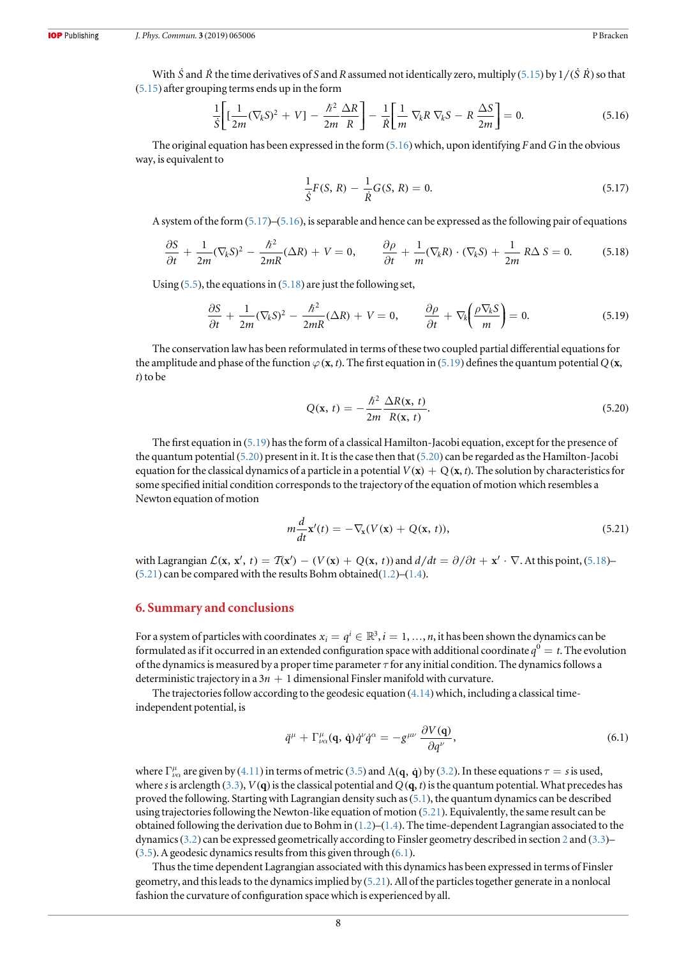With  $\dot{S}$  and  $\dot{R}$  the time derivatives of S and R assumed not identically zero, multiply ([5.15](#page-8-0)) by  $1/(\dot{S}R)$  so that ([5.15](#page-8-0)) after grouping terms ends up in the form

$$
\frac{1}{S}\left[\left[\frac{1}{2m}(\nabla_k S)^2 + V\right] - \frac{\hbar^2}{2m} \frac{\Delta R}{R}\right] - \frac{1}{R}\left[\frac{1}{m}\nabla_k R \nabla_k S - R \frac{\Delta S}{2m}\right] = 0.
$$
\n(5.16)

The original equation has been expressed in the form  $(5.16)$  which, upon identifying F and G in the obvious way, is equivalent to

$$
\frac{1}{\dot{S}}F(S, R) - \frac{1}{\dot{R}}G(S, R) = 0.
$$
\n(5.17)

A system of the form (5.17)–(5.16), is separable and hence can be expressed as the following pair of equations

$$
\frac{\partial S}{\partial t} + \frac{1}{2m} (\nabla_k S)^2 - \frac{\hbar^2}{2mR} (\Delta R) + V = 0, \qquad \frac{\partial \rho}{\partial t} + \frac{1}{m} (\nabla_k R) \cdot (\nabla_k S) + \frac{1}{2m} R \Delta S = 0. \tag{5.18}
$$

Using  $(5.5)$  $(5.5)$  $(5.5)$ , the equations in  $(5.18)$  are just the following set,

$$
\frac{\partial S}{\partial t} + \frac{1}{2m} (\nabla_k S)^2 - \frac{\hbar^2}{2mR} (\Delta R) + V = 0, \qquad \frac{\partial \rho}{\partial t} + \nabla_k \left( \frac{\rho \nabla_k S}{m} \right) = 0. \tag{5.19}
$$

The conservation law has been reformulated in terms of these two coupled partial differential equations for the amplitude and phase of the function  $\varphi(x, t)$ . The first equation in (5.19) defines the quantum potential Q (x, t) to be

$$
Q(\mathbf{x}, t) = -\frac{\hbar^2}{2m} \frac{\Delta R(\mathbf{x}, t)}{R(\mathbf{x}, t)}.
$$
\n(5.20)

The first equation in (5.19) has the form of a classical Hamilton-Jacobi equation, except for the presence of the quantum potential (5.20) present in it. It is the case then that (5.20) can be regarded as the Hamilton-Jacobi equation for the classical dynamics of a particle in a potential  $V(\mathbf{x}) + Q(\mathbf{x}, t)$ . The solution by characteristics for some specified initial condition corresponds to the trajectory of the equation of motion which resembles a Newton equation of motion

$$
m\frac{d}{dt}\mathbf{x}'(t) = -\nabla_{\mathbf{x}}(V(\mathbf{x}) + Q(\mathbf{x}, t)),\tag{5.21}
$$

with Lagrangian  $\mathcal{L}(\mathbf{x}, \mathbf{x}', t) = \mathcal{T}(\mathbf{x}') - (V(\mathbf{x}) + Q(\mathbf{x}, t))$  and  $d/dt = \partial/\partial t + \mathbf{x}' \cdot \nabla$ . At this point, (5.18)–  $(5.21)$  can be compared with the results Bohm obtained $(1.2)$  $(1.2)$  $(1.2)$ – $(1.4)$  $(1.4)$  $(1.4)$ .

#### 6. Summary and conclusions

For a system of particles with coordinates  $x_i=q^i\in\mathbb{R}^3, i=1,...,n,$  it has been shown the dynamics can be formulated as if it occurred in an extended configuration space with additional coordinate  $q^0 = t$ . The evolution of the dynamics is measured by a proper time parameter  $\tau$  for any initial condition. The dynamics follows a deterministic trajectory in a  $3n + 1$  dimensional Finsler manifold with curvature.

The trajectories follow according to the geodesic equation  $(4.14)$  $(4.14)$  $(4.14)$  which, including a classical timeindependent potential, is

$$
\ddot{q}^{\mu} + \Gamma^{\mu}_{\nu\alpha}(\mathbf{q}, \dot{\mathbf{q}})\dot{q}^{\nu}\dot{q}^{\alpha} = -g^{\mu\nu}\frac{\partial V(\mathbf{q})}{\partial q^{\nu}}, \qquad (6.1)
$$

where  $\Gamma^{\mu}_{\nu\alpha}$  are given by ([4.11](#page-7-0)) in terms of metric ([3.5](#page-5-0)) and  $\Lambda(q, \dot{q})$  by ([3.2](#page-5-0)). In these equations  $\tau = s$  is used, where s is arclength ([3.3](#page-5-0)),  $V(\mathbf{q})$  is the classical potential and Q( $\mathbf{q}, t$ ) is the quantum potential. What precedes has proved the following. Starting with Lagrangian density such as([5.1](#page-7-0)), the quantum dynamics can be described using trajectories following the Newton-like equation of motion (5.21). Equivalently, the same result can be obtained following the derivation due to Bohm in  $(1.2)$  $(1.2)$  $(1.2)$ – $(1.4)$  $(1.4)$  $(1.4)$ . The time-dependent Lagrangian associated to the dynamics([3.2](#page-5-0)) can be expressed geometrically according to Finsler geometry described in section [2](#page-3-0) and ([3.3](#page-5-0))–  $(3.5)$  $(3.5)$  $(3.5)$ . A geodesic dynamics results from this given through  $(6.1)$ .

Thus the time dependent Lagrangian associated with this dynamics has been expressed in terms of Finsler geometry, and this leads to the dynamics implied by  $(5.21)$ . All of the particles together generate in a nonlocal fashion the curvature of configuration space which is experienced by all.